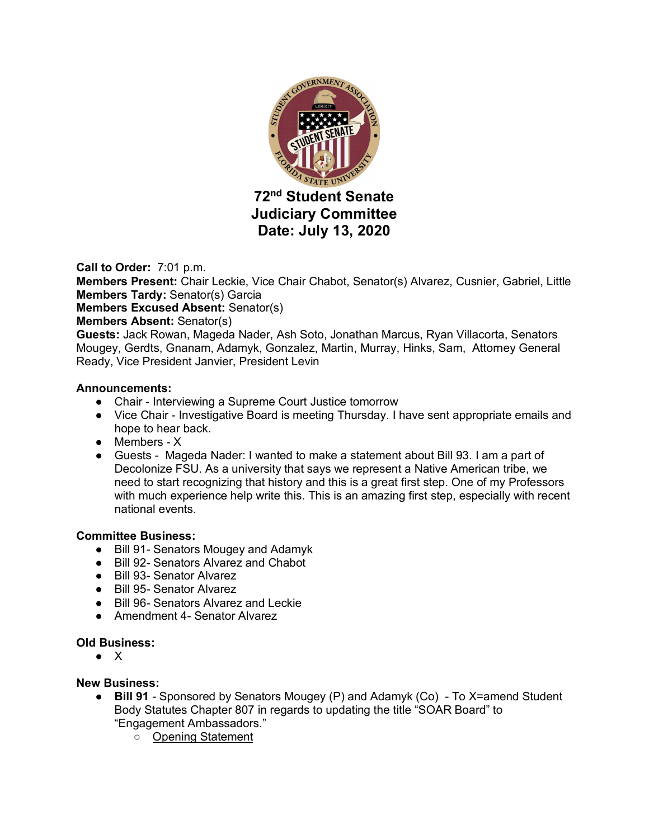

**Call to Order:** 7:01 p.m.

**Members Present:** Chair Leckie, Vice Chair Chabot, Senator(s) Alvarez, Cusnier, Gabriel, Little **Members Tardy:** Senator(s) Garcia

**Members Excused Absent:** Senator(s)

# **Members Absent:** Senator(s)

**Guests:** Jack Rowan, Mageda Nader, Ash Soto, Jonathan Marcus, Ryan Villacorta, Senators Mougey, Gerdts, Gnanam, Adamyk, Gonzalez, Martin, Murray, Hinks, Sam, Attorney General Ready, Vice President Janvier, President Levin

### **Announcements:**

- Chair Interviewing a Supreme Court Justice tomorrow
- Vice Chair Investigative Board is meeting Thursday. I have sent appropriate emails and hope to hear back.
- Members X
- Guests Mageda Nader: I wanted to make a statement about Bill 93. I am a part of Decolonize FSU. As a university that says we represent a Native American tribe, we need to start recognizing that history and this is a great first step. One of my Professors with much experience help write this. This is an amazing first step, especially with recent national events.

# **Committee Business:**

- Bill 91- Senators Mougey and Adamyk
- Bill 92- Senators Alvarez and Chabot
- Bill 93- Senator Alvarez
- Bill 95- Senator Alvarez
- Bill 96- Senators Alvarez and Leckie
- Amendment 4- Senator Alvarez

# **Old Business:**

● X

### **New Business:**

- **Bill 91** Sponsored by Senators Mougey (P) and Adamyk (Co) To X=amend Student Body Statutes Chapter 807 in regards to updating the title "SOAR Board" to "Engagement Ambassadors."
	- Opening Statement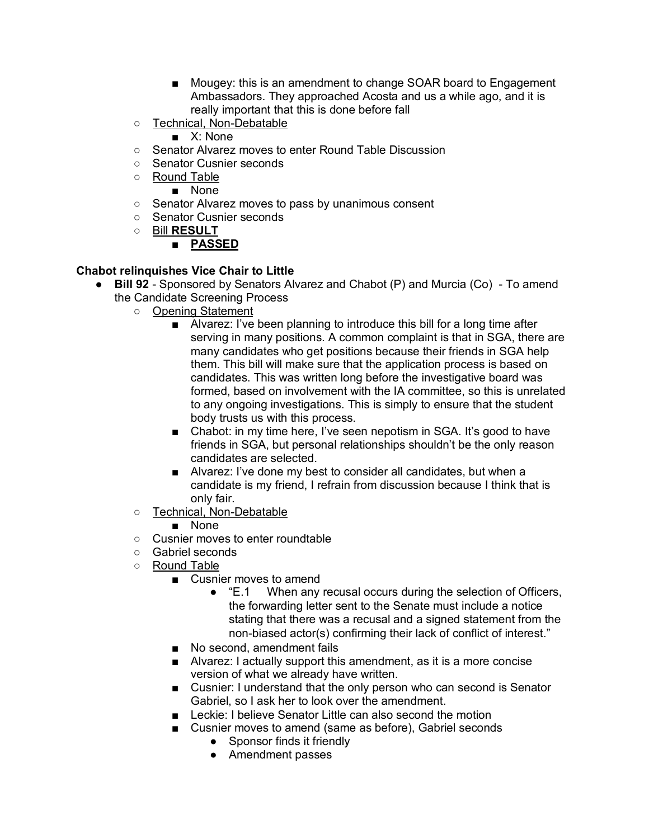- Mougey: this is an amendment to change SOAR board to Engagement Ambassadors. They approached Acosta and us a while ago, and it is really important that this is done before fall
- Technical, Non-Debatable

■ X<sup>·</sup> None

- Senator Alvarez moves to enter Round Table Discussion
- Senator Cusnier seconds
- Round Table
	- None
- Senator Alvarez moves to pass by unanimous consent
- Senator Cusnier seconds
- Bill **RESULT**
	- **PASSED**

# **Chabot relinquishes Vice Chair to Little**

- **Bill 92** Sponsored by Senators Alvarez and Chabot (P) and Murcia (Co) To amend the Candidate Screening Process
	- Opening Statement
		- Alvarez: I've been planning to introduce this bill for a long time after serving in many positions. A common complaint is that in SGA, there are many candidates who get positions because their friends in SGA help them. This bill will make sure that the application process is based on candidates. This was written long before the investigative board was formed, based on involvement with the IA committee, so this is unrelated to any ongoing investigations. This is simply to ensure that the student body trusts us with this process.
		- Chabot: in my time here, I've seen nepotism in SGA. It's good to have friends in SGA, but personal relationships shouldn't be the only reason candidates are selected.
		- Alvarez: I've done my best to consider all candidates, but when a candidate is my friend, I refrain from discussion because I think that is only fair.
	- Technical, Non-Debatable
		- None
	- Cusnier moves to enter roundtable
	- Gabriel seconds
	- Round Table
		- Cusnier moves to amend
			- "E.1 When any recusal occurs during the selection of Officers, the forwarding letter sent to the Senate must include a notice stating that there was a recusal and a signed statement from the non-biased actor(s) confirming their lack of conflict of interest."
		- No second, amendment fails
		- Alvarez: I actually support this amendment, as it is a more concise version of what we already have written.
		- Cusnier: I understand that the only person who can second is Senator Gabriel, so I ask her to look over the amendment.
		- Leckie: I believe Senator Little can also second the motion
		- Cusnier moves to amend (same as before), Gabriel seconds
			- Sponsor finds it friendly
			- Amendment passes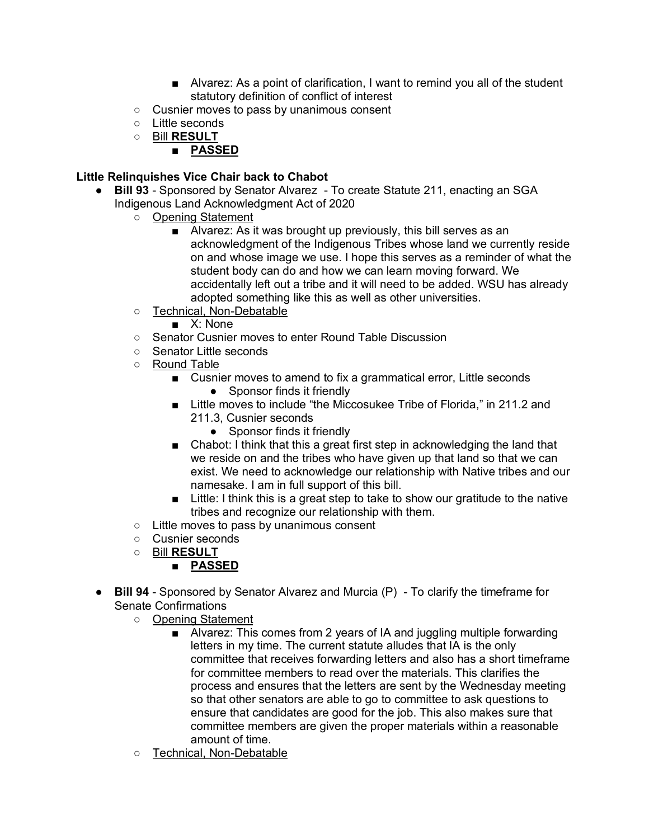- Alvarez: As a point of clarification, I want to remind you all of the student statutory definition of conflict of interest
- Cusnier moves to pass by unanimous consent
- Little seconds
- Bill **RESULT**

# ■ **PASSED**

# **Little Relinquishes Vice Chair back to Chabot**

- **Bill 93** Sponsored by Senator Alvarez To create Statute 211, enacting an SGA Indigenous Land Acknowledgment Act of 2020
	- Opening Statement
		- Alvarez: As it was brought up previously, this bill serves as an acknowledgment of the Indigenous Tribes whose land we currently reside on and whose image we use. I hope this serves as a reminder of what the student body can do and how we can learn moving forward. We accidentally left out a tribe and it will need to be added. WSU has already adopted something like this as well as other universities.
	- Technical, Non-Debatable
		- X: None
	- Senator Cusnier moves to enter Round Table Discussion
	- Senator Little seconds
	- Round Table
		- Cusnier moves to amend to fix a grammatical error, Little seconds
			- Sponsor finds it friendly
		- Little moves to include "the Miccosukee Tribe of Florida," in 211.2 and 211.3, Cusnier seconds
			- Sponsor finds it friendly
		- Chabot: I think that this a great first step in acknowledging the land that we reside on and the tribes who have given up that land so that we can exist. We need to acknowledge our relationship with Native tribes and our namesake. I am in full support of this bill.
		- Little: I think this is a great step to take to show our gratitude to the native tribes and recognize our relationship with them.
	- Little moves to pass by unanimous consent
	- Cusnier seconds
	- Bill **RESULT**
		- **PASSED**
- **Bill 94** Sponsored by Senator Alvarez and Murcia (P) To clarify the timeframe for Senate Confirmations
	- Opening Statement
		- Alvarez: This comes from 2 years of IA and juggling multiple forwarding letters in my time. The current statute alludes that IA is the only committee that receives forwarding letters and also has a short timeframe for committee members to read over the materials. This clarifies the process and ensures that the letters are sent by the Wednesday meeting so that other senators are able to go to committee to ask questions to ensure that candidates are good for the job. This also makes sure that committee members are given the proper materials within a reasonable amount of time.
	- Technical, Non-Debatable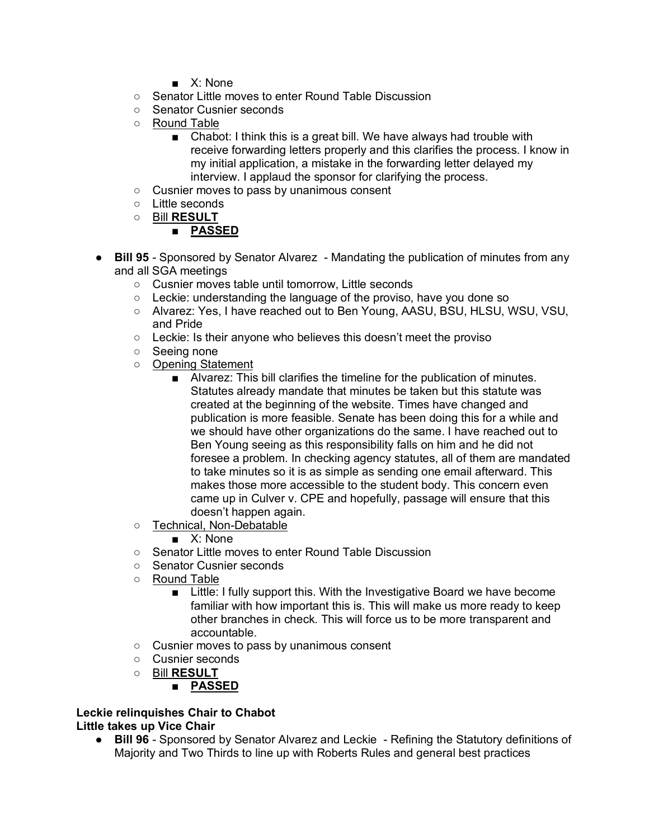- X: None
- Senator Little moves to enter Round Table Discussion
- Senator Cusnier seconds
- Round Table
	- Chabot: I think this is a great bill. We have always had trouble with receive forwarding letters properly and this clarifies the process. I know in my initial application, a mistake in the forwarding letter delayed my interview. I applaud the sponsor for clarifying the process.
- Cusnier moves to pass by unanimous consent
- Little seconds
- Bill **RESULT**

# ■ **PASSED**

- **Bill 95** Sponsored by Senator Alvarez Mandating the publication of minutes from any and all SGA meetings
	- Cusnier moves table until tomorrow, Little seconds
	- Leckie: understanding the language of the proviso, have you done so
	- Alvarez: Yes, I have reached out to Ben Young, AASU, BSU, HLSU, WSU, VSU, and Pride
	- Leckie: Is their anyone who believes this doesn't meet the proviso
	- Seeing none
	- Opening Statement
		- Alvarez: This bill clarifies the timeline for the publication of minutes. Statutes already mandate that minutes be taken but this statute was created at the beginning of the website. Times have changed and publication is more feasible. Senate has been doing this for a while and we should have other organizations do the same. I have reached out to Ben Young seeing as this responsibility falls on him and he did not foresee a problem. In checking agency statutes, all of them are mandated to take minutes so it is as simple as sending one email afterward. This makes those more accessible to the student body. This concern even came up in Culver v. CPE and hopefully, passage will ensure that this doesn't happen again.
	- Technical, Non-Debatable

■ X: None

- Senator Little moves to enter Round Table Discussion
- Senator Cusnier seconds
- Round Table
	- Little: I fully support this. With the Investigative Board we have become familiar with how important this is. This will make us more ready to keep other branches in check. This will force us to be more transparent and accountable.
- Cusnier moves to pass by unanimous consent
- Cusnier seconds
- Bill **RESULT**
	- **PASSED**

#### **Leckie relinquishes Chair to Chabot Little takes up Vice Chair**

● **Bill 96** - Sponsored by Senator Alvarez and Leckie - Refining the Statutory definitions of Majority and Two Thirds to line up with Roberts Rules and general best practices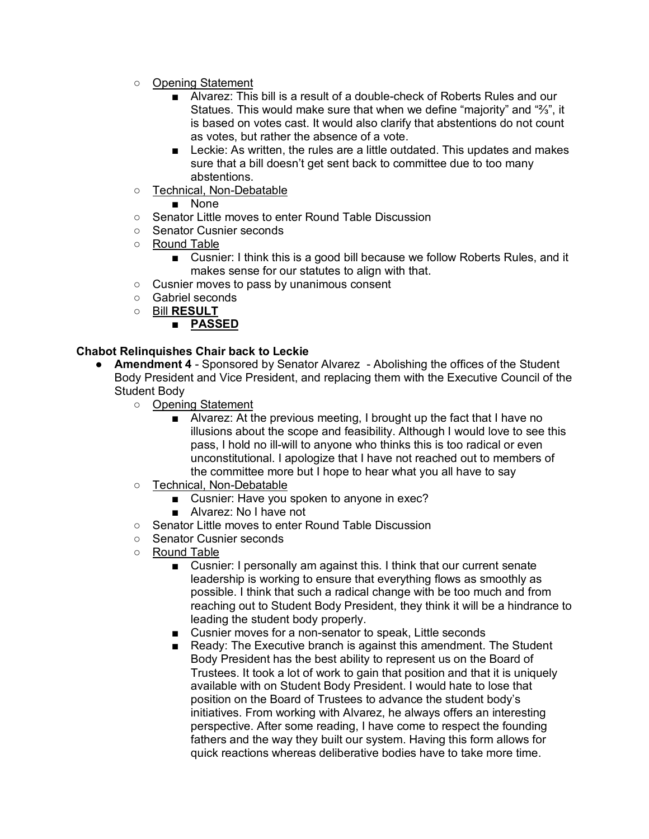- Opening Statement
	- Alvarez: This bill is a result of a double-check of Roberts Rules and our Statues. This would make sure that when we define "majority" and "⅔", it is based on votes cast. It would also clarify that abstentions do not count as votes, but rather the absence of a vote.
	- Leckie: As written, the rules are a little outdated. This updates and makes sure that a bill doesn't get sent back to committee due to too many abstentions.
- Technical, Non-Debatable
	- None
- Senator Little moves to enter Round Table Discussion
- Senator Cusnier seconds
- Round Table
	- Cusnier: I think this is a good bill because we follow Roberts Rules, and it makes sense for our statutes to align with that.
- Cusnier moves to pass by unanimous consent
- Gabriel seconds
- Bill **RESULT**

# ■ **PASSED**

### **Chabot Relinquishes Chair back to Leckie**

- **Amendment 4** Sponsored by Senator Alvarez Abolishing the offices of the Student Body President and Vice President, and replacing them with the Executive Council of the Student Body
	- Opening Statement
		- Alvarez: At the previous meeting, I brought up the fact that I have no illusions about the scope and feasibility. Although I would love to see this pass, I hold no ill-will to anyone who thinks this is too radical or even unconstitutional. I apologize that I have not reached out to members of the committee more but I hope to hear what you all have to say
	- Technical, Non-Debatable
		- Cusnier: Have you spoken to anyone in exec?
		- Alvarez: No I have not
	- Senator Little moves to enter Round Table Discussion
	- Senator Cusnier seconds
	- Round Table
		- Cusnier: I personally am against this. I think that our current senate leadership is working to ensure that everything flows as smoothly as possible. I think that such a radical change with be too much and from reaching out to Student Body President, they think it will be a hindrance to leading the student body properly.
		- Cusnier moves for a non-senator to speak, Little seconds
		- Ready: The Executive branch is against this amendment. The Student Body President has the best ability to represent us on the Board of Trustees. It took a lot of work to gain that position and that it is uniquely available with on Student Body President. I would hate to lose that position on the Board of Trustees to advance the student body's initiatives. From working with Alvarez, he always offers an interesting perspective. After some reading, I have come to respect the founding fathers and the way they built our system. Having this form allows for quick reactions whereas deliberative bodies have to take more time.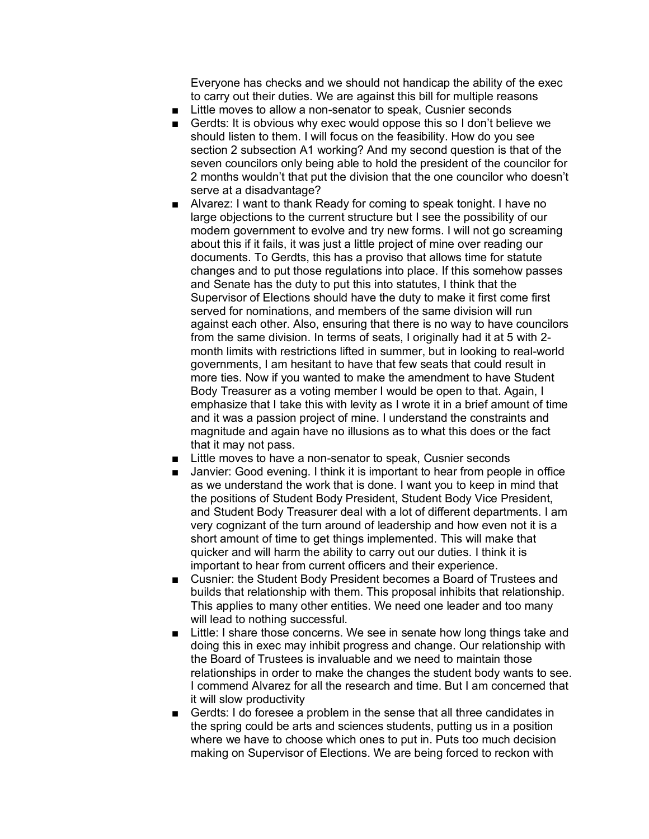Everyone has checks and we should not handicap the ability of the exec to carry out their duties. We are against this bill for multiple reasons

- Little moves to allow a non-senator to speak, Cusnier seconds
- Gerdts: It is obvious why exec would oppose this so I don't believe we should listen to them. I will focus on the feasibility. How do you see section 2 subsection A1 working? And my second question is that of the seven councilors only being able to hold the president of the councilor for 2 months wouldn't that put the division that the one councilor who doesn't serve at a disadvantage?
- Alvarez: I want to thank Ready for coming to speak tonight. I have no large objections to the current structure but I see the possibility of our modern government to evolve and try new forms. I will not go screaming about this if it fails, it was just a little project of mine over reading our documents. To Gerdts, this has a proviso that allows time for statute changes and to put those regulations into place. If this somehow passes and Senate has the duty to put this into statutes, I think that the Supervisor of Elections should have the duty to make it first come first served for nominations, and members of the same division will run against each other. Also, ensuring that there is no way to have councilors from the same division. In terms of seats, I originally had it at 5 with 2 month limits with restrictions lifted in summer, but in looking to real-world governments, I am hesitant to have that few seats that could result in more ties. Now if you wanted to make the amendment to have Student Body Treasurer as a voting member I would be open to that. Again, I emphasize that I take this with levity as I wrote it in a brief amount of time and it was a passion project of mine. I understand the constraints and magnitude and again have no illusions as to what this does or the fact that it may not pass.
- Little moves to have a non-senator to speak, Cusnier seconds
- Janvier: Good evening. I think it is important to hear from people in office as we understand the work that is done. I want you to keep in mind that the positions of Student Body President, Student Body Vice President, and Student Body Treasurer deal with a lot of different departments. I am very cognizant of the turn around of leadership and how even not it is a short amount of time to get things implemented. This will make that quicker and will harm the ability to carry out our duties. I think it is important to hear from current officers and their experience.
- Cusnier: the Student Body President becomes a Board of Trustees and builds that relationship with them. This proposal inhibits that relationship. This applies to many other entities. We need one leader and too many will lead to nothing successful.
- Little: I share those concerns. We see in senate how long things take and doing this in exec may inhibit progress and change. Our relationship with the Board of Trustees is invaluable and we need to maintain those relationships in order to make the changes the student body wants to see. I commend Alvarez for all the research and time. But I am concerned that it will slow productivity
- Gerdts: I do foresee a problem in the sense that all three candidates in the spring could be arts and sciences students, putting us in a position where we have to choose which ones to put in. Puts too much decision making on Supervisor of Elections. We are being forced to reckon with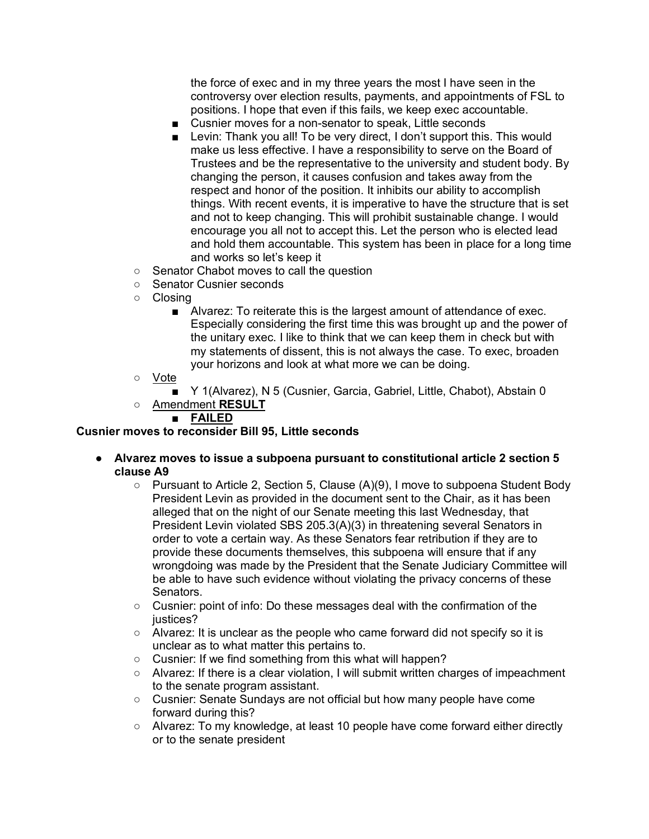the force of exec and in my three years the most I have seen in the controversy over election results, payments, and appointments of FSL to positions. I hope that even if this fails, we keep exec accountable.

- Cusnier moves for a non-senator to speak, Little seconds
- Levin: Thank you all! To be very direct, I don't support this. This would make us less effective. I have a responsibility to serve on the Board of Trustees and be the representative to the university and student body. By changing the person, it causes confusion and takes away from the respect and honor of the position. It inhibits our ability to accomplish things. With recent events, it is imperative to have the structure that is set and not to keep changing. This will prohibit sustainable change. I would encourage you all not to accept this. Let the person who is elected lead and hold them accountable. This system has been in place for a long time and works so let's keep it
- Senator Chabot moves to call the question
- Senator Cusnier seconds
- Closing
	- Alvarez: To reiterate this is the largest amount of attendance of exec. Especially considering the first time this was brought up and the power of the unitary exec. I like to think that we can keep them in check but with my statements of dissent, this is not always the case. To exec, broaden your horizons and look at what more we can be doing.
- Vote
	- Y 1(Alvarez), N 5 (Cusnier, Garcia, Gabriel, Little, Chabot), Abstain 0
- Amendment **RESULT**

# ■ **FAILED**

# **Cusnier moves to reconsider Bill 95, Little seconds**

- **Alvarez moves to issue a subpoena pursuant to constitutional article 2 section 5 clause A9** 
	- $\circ$  Pursuant to Article 2, Section 5, Clause (A)(9), I move to subpoena Student Body President Levin as provided in the document sent to the Chair, as it has been alleged that on the night of our Senate meeting this last Wednesday, that President Levin violated SBS 205.3(A)(3) in threatening several Senators in order to vote a certain way. As these Senators fear retribution if they are to provide these documents themselves, this subpoena will ensure that if any wrongdoing was made by the President that the Senate Judiciary Committee will be able to have such evidence without violating the privacy concerns of these Senators.
	- Cusnier: point of info: Do these messages deal with the confirmation of the justices?
	- Alvarez: It is unclear as the people who came forward did not specify so it is unclear as to what matter this pertains to.
	- Cusnier: If we find something from this what will happen?
	- Alvarez: If there is a clear violation, I will submit written charges of impeachment to the senate program assistant.
	- Cusnier: Senate Sundays are not official but how many people have come forward during this?
	- Alvarez: To my knowledge, at least 10 people have come forward either directly or to the senate president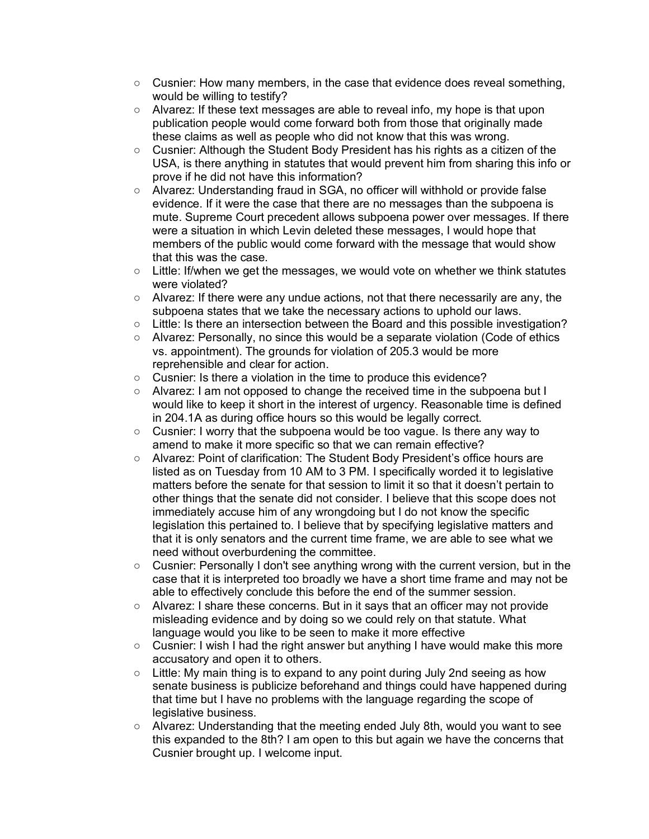- $\circ$  Cusnier: How many members, in the case that evidence does reveal something, would be willing to testify?
- Alvarez: If these text messages are able to reveal info, my hope is that upon publication people would come forward both from those that originally made these claims as well as people who did not know that this was wrong.
- Cusnier: Although the Student Body President has his rights as a citizen of the USA, is there anything in statutes that would prevent him from sharing this info or prove if he did not have this information?
- Alvarez: Understanding fraud in SGA, no officer will withhold or provide false evidence. If it were the case that there are no messages than the subpoena is mute. Supreme Court precedent allows subpoena power over messages. If there were a situation in which Levin deleted these messages, I would hope that members of the public would come forward with the message that would show that this was the case.
- $\circ$  Little: If/when we get the messages, we would vote on whether we think statutes were violated?
- Alvarez: If there were any undue actions, not that there necessarily are any, the subpoena states that we take the necessary actions to uphold our laws.
- Little: Is there an intersection between the Board and this possible investigation?
- Alvarez: Personally, no since this would be a separate violation (Code of ethics vs. appointment). The grounds for violation of 205.3 would be more reprehensible and clear for action.
- Cusnier: Is there a violation in the time to produce this evidence?
- Alvarez: I am not opposed to change the received time in the subpoena but I would like to keep it short in the interest of urgency. Reasonable time is defined in 204.1A as during office hours so this would be legally correct.
- Cusnier: I worry that the subpoena would be too vague. Is there any way to amend to make it more specific so that we can remain effective?
- Alvarez: Point of clarification: The Student Body President's office hours are listed as on Tuesday from 10 AM to 3 PM. I specifically worded it to legislative matters before the senate for that session to limit it so that it doesn't pertain to other things that the senate did not consider. I believe that this scope does not immediately accuse him of any wrongdoing but I do not know the specific legislation this pertained to. I believe that by specifying legislative matters and that it is only senators and the current time frame, we are able to see what we need without overburdening the committee.
- Cusnier: Personally I don't see anything wrong with the current version, but in the case that it is interpreted too broadly we have a short time frame and may not be able to effectively conclude this before the end of the summer session.
- Alvarez: I share these concerns. But in it says that an officer may not provide misleading evidence and by doing so we could rely on that statute. What language would you like to be seen to make it more effective
- Cusnier: I wish I had the right answer but anything I have would make this more accusatory and open it to others.
- Little: My main thing is to expand to any point during July 2nd seeing as how senate business is publicize beforehand and things could have happened during that time but I have no problems with the language regarding the scope of legislative business.
- Alvarez: Understanding that the meeting ended July 8th, would you want to see this expanded to the 8th? I am open to this but again we have the concerns that Cusnier brought up. I welcome input.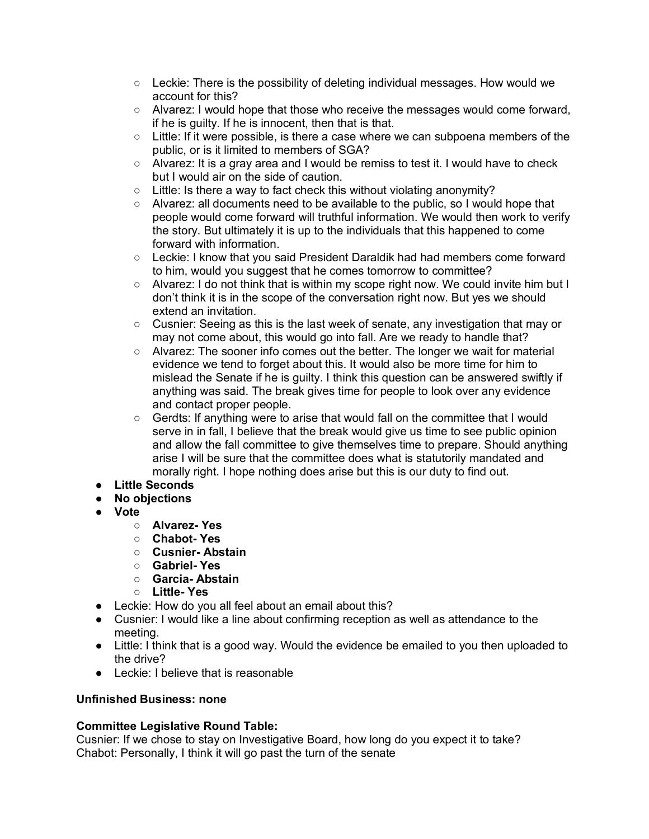- $\circ$  Leckie: There is the possibility of deleting individual messages. How would we account for this?
- Alvarez: I would hope that those who receive the messages would come forward, if he is guilty. If he is innocent, then that is that.
- Little: If it were possible, is there a case where we can subpoena members of the public, or is it limited to members of SGA?
- Alvarez: It is a gray area and I would be remiss to test it. I would have to check but I would air on the side of caution.
- Little: Is there a way to fact check this without violating anonymity?
- $\circ$  Alvarez: all documents need to be available to the public, so I would hope that people would come forward will truthful information. We would then work to verify the story. But ultimately it is up to the individuals that this happened to come forward with information.
- Leckie: I know that you said President Daraldik had had members come forward to him, would you suggest that he comes tomorrow to committee?
- Alvarez: I do not think that is within my scope right now. We could invite him but I don't think it is in the scope of the conversation right now. But yes we should extend an invitation.
- Cusnier: Seeing as this is the last week of senate, any investigation that may or may not come about, this would go into fall. Are we ready to handle that?
- Alvarez: The sooner info comes out the better. The longer we wait for material evidence we tend to forget about this. It would also be more time for him to mislead the Senate if he is guilty. I think this question can be answered swiftly if anything was said. The break gives time for people to look over any evidence and contact proper people.
- Gerdts: If anything were to arise that would fall on the committee that I would serve in in fall, I believe that the break would give us time to see public opinion and allow the fall committee to give themselves time to prepare. Should anything arise I will be sure that the committee does what is statutorily mandated and morally right. I hope nothing does arise but this is our duty to find out.
- **Little Seconds**
- **No objections**
- **Vote**
	- **Alvarez- Yes**
	- **Chabot- Yes**
	- **Cusnier- Abstain**
	- **Gabriel- Yes**
	- **Garcia- Abstain**
	- **Little- Yes**
- Leckie: How do you all feel about an email about this?
- Cusnier: I would like a line about confirming reception as well as attendance to the meeting.
- Little: I think that is a good way. Would the evidence be emailed to you then uploaded to the drive?
- Leckie: I believe that is reasonable

# **Unfinished Business: none**

# **Committee Legislative Round Table:**

Cusnier: If we chose to stay on Investigative Board, how long do you expect it to take? Chabot: Personally, I think it will go past the turn of the senate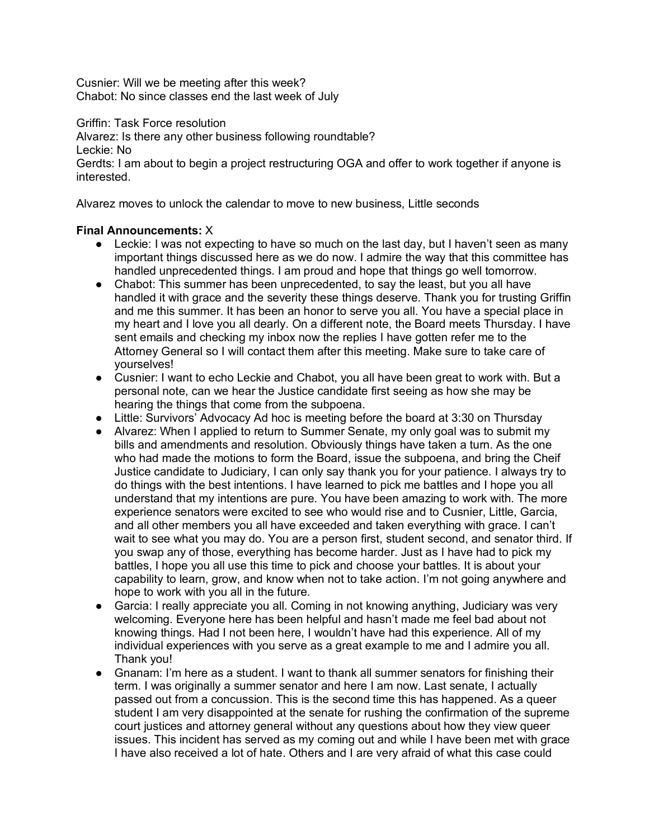Cusnier: Will we be meeting after this week? Chabot: No since classes end the last week of July

Griffin: Task Force resolution

Alvarez: Is there any other business following roundtable?

Leckie: No

Gerdts: I am about to begin a project restructuring OGA and offer to work together if anyone is interested.

Alvarez moves to unlock the calendar to move to new business, Little seconds

# **Final Announcements:** X

- Leckie: I was not expecting to have so much on the last day, but I haven't seen as many important things discussed here as we do now. I admire the way that this committee has handled unprecedented things. I am proud and hope that things go well tomorrow.
- Chabot: This summer has been unprecedented, to say the least, but you all have handled it with grace and the severity these things deserve. Thank you for trusting Griffin and me this summer. It has been an honor to serve you all. You have a special place in my heart and I love you all dearly. On a different note, the Board meets Thursday. I have sent emails and checking my inbox now the replies I have gotten refer me to the Attorney General so I will contact them after this meeting. Make sure to take care of yourselves!
- Cusnier: I want to echo Leckie and Chabot, you all have been great to work with. But a personal note, can we hear the Justice candidate first seeing as how she may be hearing the things that come from the subpoena.
- Little: Survivors' Advocacy Ad hoc is meeting before the board at 3:30 on Thursday
- Alvarez: When I applied to return to Summer Senate, my only goal was to submit my bills and amendments and resolution. Obviously things have taken a turn. As the one who had made the motions to form the Board, issue the subpoena, and bring the Cheif Justice candidate to Judiciary, I can only say thank you for your patience. I always try to do things with the best intentions. I have learned to pick me battles and I hope you all understand that my intentions are pure. You have been amazing to work with. The more experience senators were excited to see who would rise and to Cusnier, Little, Garcia, and all other members you all have exceeded and taken everything with grace. I can't wait to see what you may do. You are a person first, student second, and senator third. If you swap any of those, everything has become harder. Just as I have had to pick my battles, I hope you all use this time to pick and choose your battles. It is about your capability to learn, grow, and know when not to take action. I'm not going anywhere and hope to work with you all in the future.
- Garcia: I really appreciate you all. Coming in not knowing anything, Judiciary was very welcoming. Everyone here has been helpful and hasn't made me feel bad about not knowing things. Had I not been here, I wouldn't have had this experience. All of my individual experiences with you serve as a great example to me and I admire you all. Thank you!
- Gnanam: I'm here as a student. I want to thank all summer senators for finishing their term. I was originally a summer senator and here I am now. Last senate, I actually passed out from a concussion. This is the second time this has happened. As a queer student I am very disappointed at the senate for rushing the confirmation of the supreme court justices and attorney general without any questions about how they view queer issues. This incident has served as my coming out and while I have been met with grace I have also received a lot of hate. Others and I are very afraid of what this case could